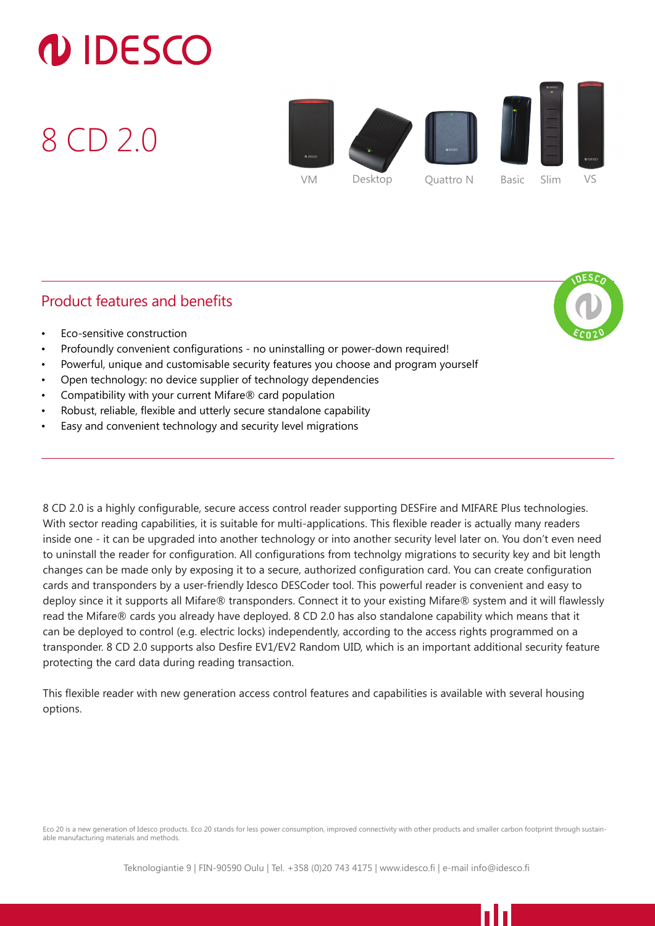## **DIDESCO**

8 CD 2.0



## Product features and benefits



- Eco-sensitive construction
- Profoundly convenient configurations no uninstalling or power-down required!
- Powerful, unique and customisable security features you choose and program yourself
- Open technology: no device supplier of technology dependencies
- Compatibility with your current Mifare® card population
- Robust, reliable, flexible and utterly secure standalone capability
- Easy and convenient technology and security level migrations

8 CD 2.0 is a highly configurable, secure access control reader supporting DESFire and MIFARE Plus technologies. With sector reading capabilities, it is suitable for multi-applications. This flexible reader is actually many readers inside one - it can be upgraded into another technology or into another security level later on. You don't even need to uninstall the reader for configuration. All configurations from technolgy migrations to security key and bit length changes can be made only by exposing it to a secure, authorized configuration card. You can create configuration cards and transponders by a user-friendly Idesco DESCoder tool. This powerful reader is convenient and easy to deploy since it it supports all Mifare® transponders. Connect it to your existing Mifare® system and it will flawlessly read the Mifare® cards you already have deployed. 8 CD 2.0 has also standalone capability which means that it can be deployed to control (e.g. electric locks) independently, according to the access rights programmed on a transponder. 8 CD 2.0 supports also Desfire EV1/EV2 Random UID, which is an important additional security feature protecting the card data during reading transaction.

This flexible reader with new generation access control features and capabilities is available with several housing options.

Eco 20 is a new generation of Idesco products. Eco 20 stands for less power consumption, improved connectivity with other products and smaller carbon footprint through sustainable manufacturing materials and methods.